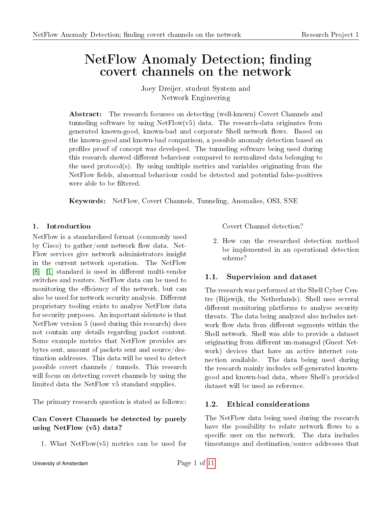# NetFlow Anomaly Detection; finding covert channels on the network

Joey Dreijer, student System and Network Engineering

Abstract: The research focusses on detecting (well-known) Covert Channels and tunneling software by using NetFlow(v5) data. The research-data originates from generated known-good, known-bad and corporate Shell network flows. Based on the known-good and known-bad comparison, a possible anomaly detection based on profiles proof of concept was developed. The tunneling software being used during this research showed different behaviour compared to normalized data belonging to the used protocol(s). By using multiple metrics and variables originating from the NetFlow fields, abnormal behaviour could be detected and potential false-positives were able to be filtered.

Keywords: NetFlow, Covert Channels, Tunneling, Anomalies, OS3, SNE

### 1. Introduction

NetFlow is a standardized format (commonly used by Cisco) to gather/sent network flow data. Net-Flow services give network administrators insight in the current network operation. The NetFlow [\[8\]](#page-10-0) [\[1\]](#page-10-1) standard is used in different multi-vendor switches and routers. NetFlow data can be used to monitoring the efficiency of the network, but can also be used for network security analysis. Different proprietary tooling exists to analyse NetFlow data for security purposes. An important sidenote is that NetFlow version 5 (used during this research) does not contain any details regarding packet content. Some example metrics that NetFlow provides are bytes sent, amount of packets sent and source/destination addresses. This data will be used to detect possible covert channels / tunnels. This research will focus on detecting covert channels by using the limited data the NetFlow v5 standard supplies.

The primary research question is stated as follows::

# Can Covert Channels be detected by purely using NetFlow (v5) data?

1. What NetFlow(v5) metrics can be used for

Covert Channel detection?

2. How can the researched detection method be implemented in an operational detection scheme?

# 1.1. Supervision and dataset

The research was performed at the Shell Cyber Centre (Rijswijk, the Netherlands). Shell uses several different monitoring platforms to analyse security threats. The data being analyzed also includes network flow data from different segments within the Shell network. Shell was able to provide a dataset originating from different un-managed (Guest Network) devices that have an active internet connection available. The data being used during the research mainly includes self-generated knowngood and known-bad data, where Shell's provided dataset will be used as reference.

# 1.2. Ethical considerations

The NetFlow data being used during the research have the possibility to relate network flows to a specific user on the network. The data includes timestamps and destination/source addresses that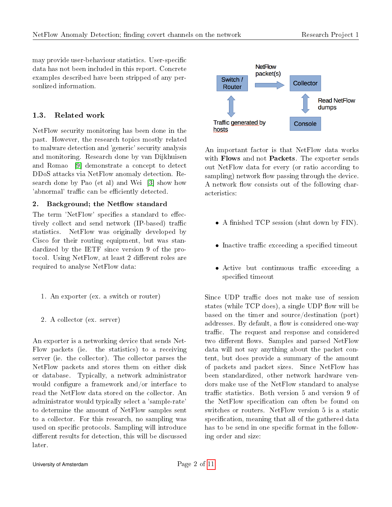may provide user-behaviour statistics. User-specific data has not been included in this report. Concrete examples described have been stripped of any personlized information.

# 1.3. Related work

NetFlow security monitoring has been done in the past. However, the research topics mostly related to malware detection and 'generic' security analysis and monitoring. Research done by van Dijkhuisen and Romao [\[9\]](#page-10-3) demonstrate a concept to detect DDoS attacks via NetFlow anomaly detection. Research done by Pao (et al) and Wei [\[3\]](#page-10-4) show how 'abnormal' traffic can be efficiently detected.

# 2. Background; the Netflow standard

The term 'NetFlow' specifies a standard to effectively collect and send network (IP-based) traffic statistics. NetFlow was originally developed by Cisco for their routing equipment, but was standardized by the IETF since version 9 of the protocol. Using NetFlow, at least 2 different roles are required to analyse NetFlow data:

- 1. An exporter (ex. a switch or router)
- 2. A collector (ex. server)

An exporter is a networking device that sends Net-Flow packets (ie. the statistics) to a receiving server (ie. the collector). The collector parses the NetFlow packets and stores them on either disk or database. Typically, a network administrator would configure a framework and/or interface to read the NetFlow data stored on the collector. An administrator would typically select a 'sample-rate' to determine the amount of NetFlow samples sent to a collector. For this research, no sampling was used on specific protocols. Sampling will introduce different results for detection, this will be discussed later.



An important factor is that NetFlow data works with Flows and not Packets. The exporter sends out NetFlow data for every (or ratio according to sampling) network flow passing through the device. A network flow consists out of the following characteristics:

- A finished TCP session (shut down by  $FIN$ ).
- Inactive traffic exceeding a specified timeout
- Active but continuous traffic exceeding a specified timeout

Since UDP traffic does not make use of session states (while  $TCP$  does), a single UDP flow will be based on the timer and source/destination (port) addresses. By default, a flow is considered one-way traffic. The request and response and considered two different flows. Samples and parsed NetFlow data will not say anything about the packet content, but does provide a summary of the amount of packets and packet sizes. Since NetFlow has been standardized, other network hardware vendors make use of the NetFlow standard to analyse traffic statistics. Both version 5 and version 9 of the NetFlow specification can often be found on switches or routers. NetFlow version 5 is a static specification, meaning that all of the gathered data has to be send in one specific format in the following order and size: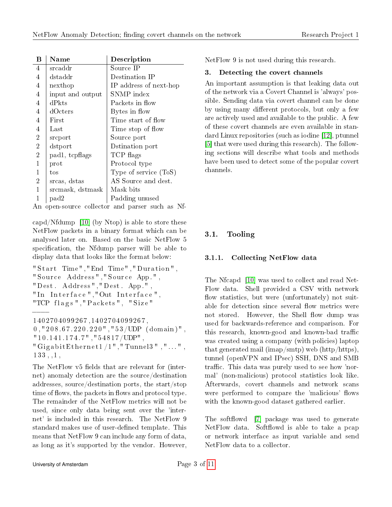| B              | <b>Name</b>      | Description                                                    |
|----------------|------------------|----------------------------------------------------------------|
| 4              | srcaddr          | Source IP                                                      |
| $\overline{4}$ | dstaddr          | Destination IP                                                 |
| $\overline{4}$ | nexthop          | IP address of next-hop                                         |
| 4              | input and output | SNMP index                                                     |
| 4              | dPkts            | Packets in flow                                                |
| 4              | dOcters          | Bytes in flow                                                  |
| 4              | First            | Time start of flow                                             |
| 4              | $_{\rm Last}$    | Time stop of flow                                              |
| $\overline{2}$ | srcport          | Source port                                                    |
| $\overline{2}$ | dstport          | Dstination port                                                |
| $\overline{2}$ | pad1, tcpflags   | TCP flags                                                      |
| $\mathbf 1$    | prot             | Protocol type                                                  |
| $\mathbf{1}$   | tos              | Type of service $(ToS)$                                        |
| $\overline{2}$ | srcas, dstas     | AS Source and dest.                                            |
| 1              | srcmask, dstmask | Mask bits                                                      |
|                | pad2             | Padding unused                                                 |
|                |                  | the compact of the state of the compact of the state of the MC |

An open-source collector and parser such as Nf-

capd/Nfdump [\[10\]](#page-10-5) (by Ntop) is able to store these NetFlow packets in a binary format which can be analysed later on. Based on the basic NetFlow 5 specification, the Nfdump parser will be able to display data that looks like the format below:

```
" Start Time", "End Time", "Duration",
" Source Address", "Source App.",
" Dest . Address " ," Dest . App. " ,
" In Interface ", "Out Interface"
"TCP flags", "Packs", "Size"
```

```
1402704099267 ,1402704099267 ,
```
 $0$ , "208.67.220.220", "53/UDP (domain)",  $"10.141.174.7"$ , " $54817/UDP"$ , " Giga bit Ethernet  $1/1$ ", "Tunnel $3$ ", "...",  $133, 1, 1,$ 

The NetFlow v5 fields that are relevant for (internet) anomaly detection are the source/destination addresses, source/destination ports, the start/stop time of flows, the packets in flows and protocol type. The remainder of the NetFlow metrics will not be used, since only data being sent over the 'internet' is included in this research. The NetFlow 9 standard makes use of user-defined template. This means that NetFlow 9 can include any form of data, as long as it's supported by the vendor. However, NetFlow 9 is not used during this research.

# 3. Detecting the covert channels

An important assumption is that leaking data out of the network via a Covert Channel is 'always' possible. Sending data via covert channel can be done by using many different protocols, but only a few are actively used and available to the public. A few of these covert channels are even available in standard Linux repositories (such as iodine [\[12\]](#page-10-6), ptunnel [\[5\]](#page-10-7) that were used during this research). The following sections will describe what tools and methods have been used to detect some of the popular covert channels.

# 3.1. Tooling

# 3.1.1. Collecting NetFlow data

The Nfcapd [\[10\]](#page-10-5) was used to collect and read Net-Flow data. Shell provided a CSV with network flow statistics, but were (unfortunately) not suitable for detection since several flow metrics were not stored. However, the Shell flow dump was used for backwards-reference and comparison. For this research, known-good and known-bad traffic was created using a company (with policies) laptop that generated mail (imap/smtp) web (http/https), tunnel (openVPN and IPsec) SSH, DNS and SMB traffic. This data was purely used to see how 'normal' (non-malicious) protocol statistics look like. Afterwards, covert channels and network scans were performed to compare the 'malicious' flows with the known-good dataset gathered earlier.

The softflowd [\[7\]](#page-10-8) package was used to generate NetFlow data. Softflowd is able to take a pcap or network interface as input variable and send NetFlow data to a collector.

−−−−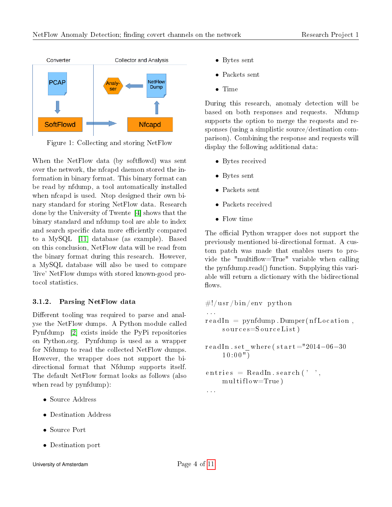

Figure 1: Collecting and storing NetFlow

When the NetFlow data (by softflowd) was sent over the network, the nfcapd daemon stored the information in binary format. This binary format can be read by nfdump, a tool automatically installed when nfcapd is used. Ntop designed their own binary standard for storing NetFlow data. Research done by the University of Twente [\[4\]](#page-10-9) shows that the binary standard and nfdump tool are able to index and search specific data more efficiently compared to a MySQL [\[11\]](#page-10-10) database (as example). Based on this conclusion, NetFlow data will be read from the binary format during this research. However, a MySQL database will also be used to compare 'live' NetFlow dumps with stored known-good protocol statistics.

### 3.1.2. Parsing NetFlow data

Different tooling was required to parse and analyse the NetFlow dumps. A Python module called Pynfdump [\[2\]](#page-10-11) exists inside the PyPi repositories on Python.org. Pynfdump is used as a wrapper for Nfdump to read the collected NetFlow dumps. However, the wrapper does not support the bidirectional format that Nfdump supports itself. The default NetFlow format looks as follows (also when read by pynfdump):

- Source Address
- Destination Address
- Source Port
- Destination port
- Bytes sent
- Packets sent
- Time

During this research, anomaly detection will be based on both responses and requests. Nfdump supports the option to merge the requests and responses (using a simplistic source/destination comparison). Combining the response and requests will display the following additional data:

- Bytes received
- Bytes sent
- Packets sent
- Packets received
- Flow time

The official Python wrapper does not support the previously mentioned bi-directional format. A custom patch was made that enables users to provide the "multiflow=True" variable when calling the pynfdump.read() function. Supplying this variable will return a dictionary with the bidirectional flows.

 $\#!/$ usr / bin / env python . . .  $readIn = pynfdump.Dumper(nfLocation,$  $source = SourceList)$ readIn.set\_where ( $\text{star} = "2014-06-30$  $10:00$ ")

```
entries = ReadIn. search ('',
    m ultiflow=True)
```
. . .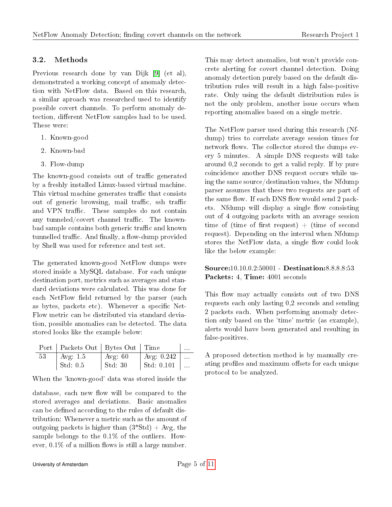### 3.2. Methods

Previous research done by van Dijk [\[9\]](#page-10-3) (et al), demonstrated a working concept of anomaly detection with NetFlow data. Based on this research, a similar aproach was researched used to identify possible covert channels. To perform anomaly detection, different NetFlow samples had to be used. These were:

- 1. Known-good
- 2. Known-bad
- 3. Flow-dump

The known-good consists out of traffic generated by a freshly installed Linux-based virtual machine. This virtual machine generates traffic that consists out of generic browsing, mail traffic, ssh traffic and VPN traffic. These samples do not contain any tunneled/covert channel traffic. The knownbad sample contains both generic traffic and known tunnelled traffic. And finally, a flow-dump provided by Shell was used for reference and test set.

The generated known-good NetFlow dumps were stored inside a MySQL database. For each unique destination port, metrics such as averages and standard deviations were calculated. This was done for each NetFlow field returned by the parser (such as bytes, packets etc). Whenever a specific Net-Flow metric can be distributed via standard deviation, possible anomalies can be detected. The data stored looks like the example below:

|    | Port   Packets Out   Bytes Out   Time |                 |                    | $\cdots$ |
|----|---------------------------------------|-----------------|--------------------|----------|
| 53 | $\vert$ Avg. 1.5                      | $\vert$ Avg: 60 | Avg: $0.242$       |          |
|    | Std: 0.5                              | $\vert$ Std: 30 | $ $ Std: 0.101 $ $ |          |

When the 'known-good' data was stored inside the

database, each new flow will be compared to the stored averages and deviations. Basic anomalies can be defined according to the rules of default distribution: Whenever a metric such as the amount of outgoing packets is higher than  $(3*Std) + Avg$ , the sample belongs to the 0.1% of the outliers. However,  $0.1\%$  of a million flows is still a large number. This may detect anomalies, but won't provide concrete alerting for covert channel detection. Doing anomaly detection purely based on the default distribution rules will result in a high false-positive rate. Only using the default distribution rules is not the only problem, another issue occurs when reporting anomalies based on a single metric.

The NetFlow parser used during this research (Nfdump) tries to correlate average session times for network flows. The collector stored the dumps every 5 minutes. A simple DNS requests will take around 0,2 seconds to get a valid reply. If by pure coincidence another DNS request occurs while using the same source/destination values, the Nfdump parser assumes that these two requests are part of the same flow. If each DNS flow would send 2 packets. Nfdump will display a single flow consisting out of 4 outgoing packets with an average session time of (time of first request) + (time of second request). Depending on the interval when Nfdump stores the NetFlow data, a single flow could look like the below example:

### Source:10.10.0.2:50001 - Destination:8.8.8.8:53 Packets: 4, Time: 4001 seconds

This flow may actually consists out of two DNS requests each only lasting 0,2 seconds and sending 2 packets each. When performing anomaly detection only based on the 'time' metric (as example), alerts would have been generated and resulting in false-positives.

A proposed detection method is by manually creating profiles and maximum offsets for each unique protocol to be analyzed.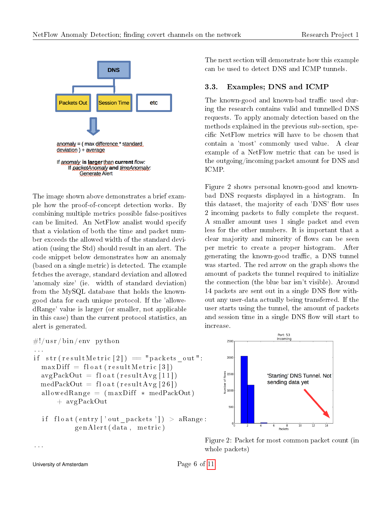

The image shown above demonstrates a brief example how the proof-of-concept detection works. By combining multiple metrics possible false-positives can be limited. An NetFlow analist would specify that a violation of both the time and packet number exceeds the allowed width of the standard deviation (using the Std) should result in an alert. The code snippet below demonstrates how an anomaly (based on a single metric) is detected. The example fetches the average, standard deviation and allowed 'anomaly size' (ie. width of standard deviation) from the MySQL database that holds the knowngood data for each unique protocol. If the 'allowedRange' value is larger (or smaller, not applicable in this case) than the current protocol statistics, an alert is generated.

```
\#!/usr/bin/env python
. . .
if str (result Metric [2]) = "packets out":
  maxDiff = float (resultMetric [3])avgPackOut = float(resultAvg[11])medPackOut = float (resultAvg [26])allowedRange = (maxDiff * medPackOut)+ avgPackOut
```

```
if float (entry ['out_packets']) > aRange:
        genAlert (data, metric)
```
The next section will demonstrate how this example can be used to detect DNS and ICMP tunnels.

### 3.3. Examples; DNS and ICMP

The known-good and known-bad traffic used during the research contains valid and tunnelled DNS requests. To apply anomaly detection based on the methods explained in the previous sub-section, specific NetFlow metrics will have to be chosen that contain a 'most' commonly used value. A clear example of a NetFlow metric that can be used is the outgoing/incoming packet amount for DNS and ICMP.

Figure 2 shows personal known-good and knownbad DNS requests displayed in a histogram. In this dataset, the majority of each 'DNS' flow uses 2 incoming packets to fully complete the request. A smaller amount uses 1 single packet and even less for the other numbers. It is important that a clear majority and minority of flows can be seen per metric to create a proper histogram. After generating the known-good traffic, a DNS tunnel was started. The red arrow on the graph shows the amount of packets the tunnel required to initialize the connection (the blue bar isn't visible). Around 14 packets are sent out in a single DNS flow without any user-data actually being transferred. If the user starts using the tunnel, the amount of packets and session time in a single DNS flow will start to increase.



Figure 2: Packet for most common packet count (in whole packets)

University of Amsterdam  $\qquad \qquad$  Page 6 of [11](#page-10-2)

. . .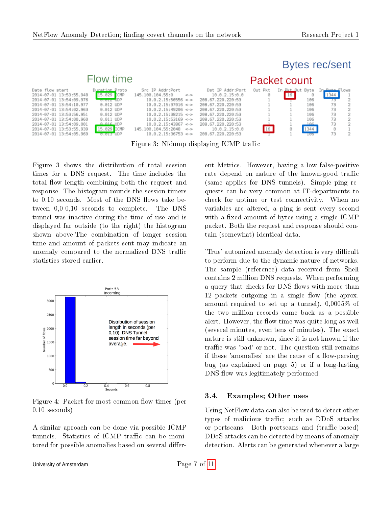# Flow time

Date  $2014 - ($  $2014 - ($  $2014 2014 - 6$  $2014 2014 - ($  $2014 - ($  $2014 - ($  $2014 - 0$ 

# **Bytes rec/sent**

| flow start         | Duration Proto      | Src IP Addr:Port             |             | Dst IP Addr:Port  | Out Pkt | In Pkt Out Byte |      | In <b>Buto</b> Flows |  |
|--------------------|---------------------|------------------------------|-------------|-------------------|---------|-----------------|------|----------------------|--|
| 07-01 13:53:55.948 | 15.029 CMP          | 145.100.104.55:0             | $\lt$ - $>$ | 10.0.2.15:0.0     |         | $16$            |      | 1344                 |  |
| 07-01 13:54:09.976 | $0.012$ JDP         | $10.0.2.15:50556$ <->        |             | 208.67.220.220:53 |         |                 | 106  |                      |  |
| 07-01 13:54:10.977 | $0.012$ UDP         | $10.0.2.15:37016$ <->        |             | 208.67.220.220:53 |         |                 | 106  |                      |  |
| 07-01 13:54:02.963 | $0.012$ UDP         | $10.0.2.15:49206$ <->        |             | 208.67.220.220:53 |         |                 | 106  |                      |  |
| 07-01 13:53:56.951 | $0.012$ UDP         | $10.0.2.15:38215$ <->        |             | 208.67.220.220:53 |         |                 | 106  | 73                   |  |
| 07-01 13:54:00.960 | $0.011$ UDP         | $10.0.2.15:53169$ <->        |             | 208.67.220.220:53 |         |                 | 106  |                      |  |
| 07-01 13:54:09.001 | $A$ $A$ $B$ $D$ $P$ | $10.0.2.15:43867$ <->        |             | 208.67.220.220:53 |         |                 |      |                      |  |
| 07-01 13:53:55.939 | 15.029 ICMP         | $145.100.104.55:2048$ <->    |             | 10.0.2.15:0.0     | 16      |                 | 1344 |                      |  |
| 07-01 13:54:05.969 | $0.013$ UDP         | $10.0.2.15:36753 \leftarrow$ |             | 208.67.220.220:53 |         |                 |      |                      |  |
|                    |                     |                              |             |                   |         |                 |      |                      |  |

Figure 3: Nfdump displaying ICMP traffic

Figure 3 shows the distribution of total session times for a DNS request. The time includes the total flow length combining both the request and response. The histogram rounds the session timers to  $0,10$  seconds. Most of the DNS flows take between 0,0-0,10 seconds to complete. The DNS tunnel was inactive during the time of use and is displayed far outside (to the right) the histogram shown above.The combination of longer session time and amount of packets sent may indicate an anomaly compared to the normalized DNS traffic statistics stored earlier.



Figure 4: Packet for most common flow times (per 0.10 seconds)

A similar aproach can be done via possible ICMP tunnels. Statistics of ICMP traffic can be monitored for possible anomalies based on several different Metrics. However, having a low false-positive rate depend on nature of the known-good traffic (same applies for DNS tunnels). Simple ping requests can be very common at IT-departments to check for uptime or test connectivity. When no variables are altered, a ping is sent every second with a fixed amount of bytes using a single ICMP packet. Both the request and response should contain (somewhat) identical data.

Packet count

'True' automized anomaly detection is very difficult to perform due to the dynamic nature of networks. The sample (reference) data received from Shell contains 2 million DNS requests. When performing a query that checks for DNS flows with more than 12 packets outgoing in a single flow (the aprox. amount required to set up a tunnel), 0,0005% of the two million records came back as a possible alert. However, the flow time was quite long as well (several minutes, even tens of minutes). The exact nature is still unknown, since it is not known if the traffic was 'bad' or not. The question still remains if these 'anomalies' are the cause of a flow-parsing bug (as explained on page 5) or if a long-lasting DNS flow was legitimately performed.

### 3.4. Examples; Other uses

Using NetFlow data can also be used to detect other types of malicious traffic; such as DDoS attacks or portscans. Both portscans and (traffic-based) DDoS attacks can be detected by means of anomaly detection. Alerts can be generated whenever a large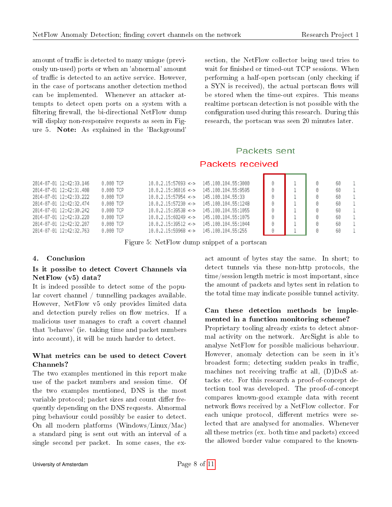amount of traffic is detected to many unique (previously un-used) ports or when an 'abnormal' amount of traffic is detected to an active service. However, in the case of portscans another detection method can be implemented. Whenever an attacker attempts to detect open ports on a system with a filtering firewall, the bi-directional NetFlow dump will display non-responsive requests as seen in Figure 5. Note: As explained in the 'Background'

section, the NetFlow collector being used tries to wait for finished or timed-out TCP sessions. When performing a half-open portscan (only checking if a SYN is received), the actual portscan flows will be stored when the time-out expires. This means realtime portscan detection is not possible with the configuration used during this research. During this research, the portscan was seen 20 minutes later.

# Packets sent **Packets received**

| $0.000$ TCP                                                                                                                                                                                                          | $10.0.2.15:57693$ <->    | 145, 100, 104, 55: 3000 |  | 60 |  |
|----------------------------------------------------------------------------------------------------------------------------------------------------------------------------------------------------------------------|--------------------------|-------------------------|--|----|--|
| $0.000$ TCP                                                                                                                                                                                                          | $10.0.2.15:36016$ <->    | 145.100.104.55:9595     |  | 60 |  |
| 0.000 TCP                                                                                                                                                                                                            | $10.0.2.15:57954$ <->    | 145.100.104.55:33       |  | 60 |  |
| $0.000$ TCP                                                                                                                                                                                                          | $10.0.2.15:57230 \leq x$ | 145.100.104.55:1248     |  | 60 |  |
| $0.000$ TCP                                                                                                                                                                                                          | $10.0.2.15:39538$ <->    | 145.100.104.55:1055     |  | 60 |  |
| $0.000$ TCP                                                                                                                                                                                                          | $10.0.2.15:60249$ <->    | 145.100.104.55:1075     |  | 60 |  |
| $0.000$ TCP                                                                                                                                                                                                          | $10.0.2.15:39512$ <->    | 145.100.104.55:1044     |  | 60 |  |
| 0.000 TCP                                                                                                                                                                                                            | $10.0.2.15:59968$ <->    | 145.100.104.55:255      |  | 60 |  |
| 2014-07-01 12:42:33.146<br>2014-07-01 12:42:31.408<br>2014-07-01 12:42:33.222<br>2014-07-01 12:42:32.474<br>2014-07-01 12:42:30.242<br>2014-07-01 12:42:33.220<br>2014-07-01 12:42:32.207<br>2014-07-01 12:42:32.763 |                          |                         |  |    |  |

Figure 5: NetFlow dump snippet of a portscan

### 4. Conclusion

### Is it possibe to detect Covert Channels via NetFlow (v5) data?

It is indeed possible to detect some of the popular covert channel / tunnelling packages available. However, NetFlow v5 only provides limited data and detection purely relies on flow metrics. If a malicious user manages to craft a covert channel that 'behaves' (ie. taking time and packet numbers into account), it will be much harder to detect.

### What metrics can be used to detect Covert Channels?

The two examples mentioned in this report make use of the packet numbers and session time. Of the two examples mentioned, DNS is the most variable protocol; packet sizes and count differ frequently depending on the DNS requests. Abnormal ping behaviour could possibly be easier to detect. On all modern platforms (Windows/Linux/Mac) a standard ping is sent out with an interval of a single second per packet. In some cases, the ex-

act amount of bytes stay the same. In short; to detect tunnels via these non-http protocols, the time/session length metric is most important, since the amount of packets and bytes sent in relation to the total time may indicate possible tunnel activity.

### Can these detection methods be implemented in a function monitoring scheme?

Proprietary tooling already exists to detect abnormal activity on the network. ArcSight is able to analyse NetFlow for possible malicious behaviour. However, anomaly detection can be seen in it's broadest form; detecting sudden peaks in traffic, machines not receiving traffic at all,  $(D)$ DoS attacks etc. For this research a proof-of-concept detection tool was developed. The proof-of-concept compares known-good example data with recent network flows received by a NetFlow collector. For each unique protocol, different metrics were selected that are analysed for anomalies. Whenever all these metrics (ex. both time and packets) exceed the allowed border value compared to the known-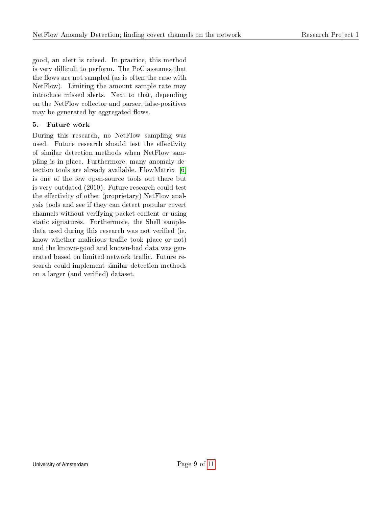good, an alert is raised. In practice, this method is very difficult to perform. The PoC assumes that the flows are not sampled (as is often the case with NetFlow). Limiting the amount sample rate may introduce missed alerts. Next to that, depending on the NetFlow collector and parser, false-positives may be generated by aggregated flows.

### 5. Future work

During this research, no NetFlow sampling was used. Future research should test the effectivity of similar detection methods when NetFlow sampling is in place. Furthermore, many anomaly detection tools are already available. FlowMatrix [\[6\]](#page-10-12) is one of the few open-source tools out there but is very outdated (2010). Future research could test the effectivity of other (proprietary) NetFlow analysis tools and see if they can detect popular covert channels without verifying packet content or using static signatures. Furthermore, the Shell sampledata used during this research was not verified (ie. know whether malicious traffic took place or not) and the known-good and known-bad data was generated based on limited network traffic. Future research could implement similar detection methods on a larger (and verified) dataset.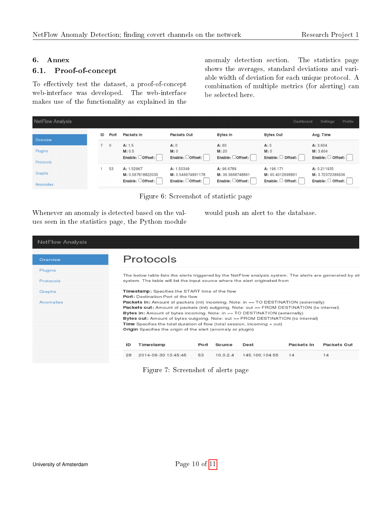#### 6. Annex

### 6.1. Proof-of-concept

To effectively test the dataset, a proof-of-concept web-interface was developed. The web-interface makes use of the functionality as explained in the

anomaly detection section. The statistics page shows the averages, standard deviations and variable width of deviation for each unique protocol. A combination of multiple metrics (for alerting) can be selected here.

| NetFlow Analysis     |    |              |                                                                  |                                                     |                                                                 | Dashboard                                                       | Profile<br>Settings                                       |
|----------------------|----|--------------|------------------------------------------------------------------|-----------------------------------------------------|-----------------------------------------------------------------|-----------------------------------------------------------------|-----------------------------------------------------------|
| Overview             | ID | Port         | Packets In                                                       | Packets Out                                         | Bytes In                                                        | <b>Bytes Out</b>                                                | Avg. Time                                                 |
|                      |    | $\mathbf{0}$ | A: 1.5                                                           | A:0                                                 | A:60                                                            | A:0                                                             | A: 3.604                                                  |
| Plugins<br>Protocols |    |              | M: 0.5<br>$Enable:$ $Offset:$                                    | M: 0<br>Enable: Offset:                             | M: 20<br>Enable: Offset:                                        | M: 0<br>Enable: $\Box$ Offset:                                  | M: 3.604<br>Enable: Offset:                               |
| Graphs<br>Anomalies  |    | 53           | A: 1.52967<br>M: 0.567818822035<br>Enable: $\Box$ Offset: $\Box$ | A: 1.50349<br>M: 0.546674891178<br>Enable: □Offset: | A: 96.6789<br>M: 36.3668748861<br>Enable: $\Box$ Offset: $\Box$ | A: 196.171<br>M: 90.4012698861<br>Enable: $\Box$ Offset: $\Box$ | A: 0.211935<br>M: 3.72372386636<br>Enable: $\Box$ Offset: |

Figure 6: Screenshot of statistic page

| Whenever an anomaly is detected based on the val-  |  |
|----------------------------------------------------|--|
| ues seen in the statistics page, the Python module |  |

would push an alert to the database.

| <b>NetFlow Analysis</b> |                                                                                                                                                                                                                                                                                                                                                                                                                                                                                                                                                                                |  |  |  |  |  |  |  |
|-------------------------|--------------------------------------------------------------------------------------------------------------------------------------------------------------------------------------------------------------------------------------------------------------------------------------------------------------------------------------------------------------------------------------------------------------------------------------------------------------------------------------------------------------------------------------------------------------------------------|--|--|--|--|--|--|--|
| Overview                | Protocols                                                                                                                                                                                                                                                                                                                                                                                                                                                                                                                                                                      |  |  |  |  |  |  |  |
| Plugins                 |                                                                                                                                                                                                                                                                                                                                                                                                                                                                                                                                                                                |  |  |  |  |  |  |  |
| Protocols               | The below table lists the alerts triggered by the NetFlow analysis system. The alerts are generated by eit<br>system. The table will list the input source where the alert originated from                                                                                                                                                                                                                                                                                                                                                                                     |  |  |  |  |  |  |  |
| Graphs                  | Timestamp: Specifies the START time of the flow                                                                                                                                                                                                                                                                                                                                                                                                                                                                                                                                |  |  |  |  |  |  |  |
| Anomalies               | <b>Port:</b> Destination Port of the flow<br><b>Packets in:</b> Amount of packets (int) incoming. Note: in == TO DESTINATION (externally)<br><b>Packets out:</b> Amount of packets (int) outgoing. Note: out == FROM DESTINATION (to internal)<br>Bytes in: Amount of bytes incoming. Note: in == TO DESTINATION (externally)<br>Bytes out: Amount of bytes outgoing. Note: out == FROM DESTINATION (to internal)<br><b>Time</b> Specifies the total duration of flow (total session, incoming $+$ out)<br><b>Origin</b> Specifies the origin of the alert (anomaly or plugin) |  |  |  |  |  |  |  |
|                         | ID<br>Timestamp<br>Packets In<br>Packets Out<br>Source<br>Dest<br>Port                                                                                                                                                                                                                                                                                                                                                                                                                                                                                                         |  |  |  |  |  |  |  |
|                         | 2014-06-30 13:45:45<br>10.0.2.4<br>145.100.104.55<br>14<br>28<br>53<br>14                                                                                                                                                                                                                                                                                                                                                                                                                                                                                                      |  |  |  |  |  |  |  |
|                         |                                                                                                                                                                                                                                                                                                                                                                                                                                                                                                                                                                                |  |  |  |  |  |  |  |

Figure 7: Screenshot of alerts page